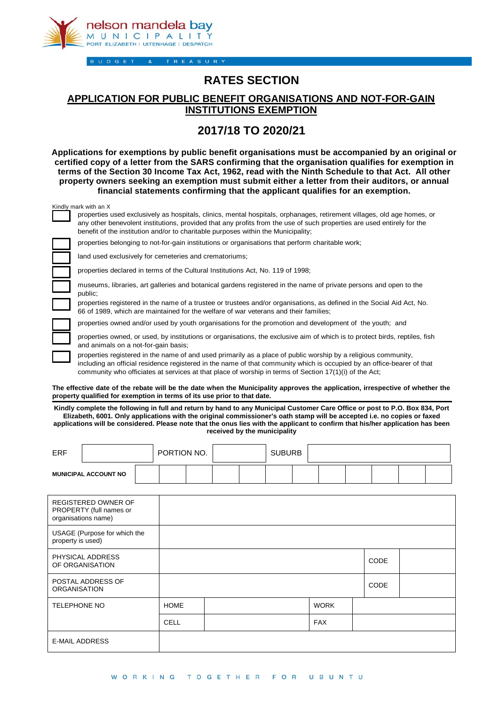

**BUDGET** TREASURY

## **RATES SECTION**

## **APPLICATION FOR PUBLIC BENEFIT ORGANISATIONS AND NOT-FOR-GAIN INSTITUTIONS EXEMPTION**

## **2017/18 TO 2020/21**

**Applications for exemptions by public benefit organisations must be accompanied by an original or certified copy of a letter from the SARS confirming that the organisation qualifies for exemption in terms of the Section 30 Income Tax Act, 1962, read with the Ninth Schedule to that Act. All other property owners seeking an exemption must submit either a letter from their auditors, or annual financial statements confirming that the applicant qualifies for an exemption.** 

| Kindly mark with an X                                                                                                                                                                                                                                                                                                                              |
|----------------------------------------------------------------------------------------------------------------------------------------------------------------------------------------------------------------------------------------------------------------------------------------------------------------------------------------------------|
| properties used exclusively as hospitals, clinics, mental hospitals, orphanages, retirement villages, old age homes, or<br>any other benevolent institutions, provided that any profits from the use of such properties are used entirely for the<br>benefit of the institution and/or to charitable purposes within the Municipality;             |
| properties belonging to not-for-gain institutions or organisations that perform charitable work;                                                                                                                                                                                                                                                   |
| land used exclusively for cemeteries and crematoriums;                                                                                                                                                                                                                                                                                             |
| properties declared in terms of the Cultural Institutions Act, No. 119 of 1998;                                                                                                                                                                                                                                                                    |
| museums, libraries, art galleries and botanical gardens registered in the name of private persons and open to the<br>public;                                                                                                                                                                                                                       |
| properties registered in the name of a trustee or trustees and/or organisations, as defined in the Social Aid Act, No.<br>66 of 1989, which are maintained for the welfare of war veterans and their families;                                                                                                                                     |
| properties owned and/or used by youth organisations for the promotion and development of the youth; and                                                                                                                                                                                                                                            |
| properties owned, or used, by institutions or organisations, the exclusive aim of which is to protect birds, reptiles, fish<br>and animals on a not-for-gain basis;                                                                                                                                                                                |
| properties registered in the name of and used primarily as a place of public worship by a religious community,<br>including an official residence registered in the name of that community which is occupied by an office-bearer of that<br>community who officiates at services at that place of worship in terms of Section 17(1)(i) of the Act: |

**The effective date of the rebate will be the date when the Municipality approves the application, irrespective of whether the property qualified for exemption in terms of its use prior to that date.** 

**Kindly complete the following in full and return by hand to any Municipal Customer Care Office or post to P.O. Box 834, Port Elizabeth, 6001. Only applications with the original commissioner's oath stamp will be accepted i.e. no copies or faxed applications will be considered. Please note that the onus lies with the applicant to confirm that his/her application has been received by the municipality** 

| ERF                         |  | PORTION NO. |  |  | <b>SUBURB</b> |  |  |  |  |  |  |
|-----------------------------|--|-------------|--|--|---------------|--|--|--|--|--|--|
| <b>MUNICIPAL ACCOUNT NO</b> |  |             |  |  |               |  |  |  |  |  |  |

| <b>REGISTERED OWNER OF</b><br>PROPERTY (full names or<br>organisations name) |             |  |             |             |  |
|------------------------------------------------------------------------------|-------------|--|-------------|-------------|--|
| USAGE (Purpose for which the<br>property is used)                            |             |  |             |             |  |
| PHYSICAL ADDRESS<br>OF ORGANISATION                                          |             |  | <b>CODE</b> |             |  |
| POSTAL ADDRESS OF<br><b>ORGANISATION</b>                                     |             |  |             | <b>CODE</b> |  |
| <b>TELEPHONE NO</b>                                                          | <b>HOME</b> |  | <b>WORK</b> |             |  |
|                                                                              | CELL        |  | <b>FAX</b>  |             |  |
| <b>E-MAIL ADDRESS</b>                                                        |             |  |             |             |  |